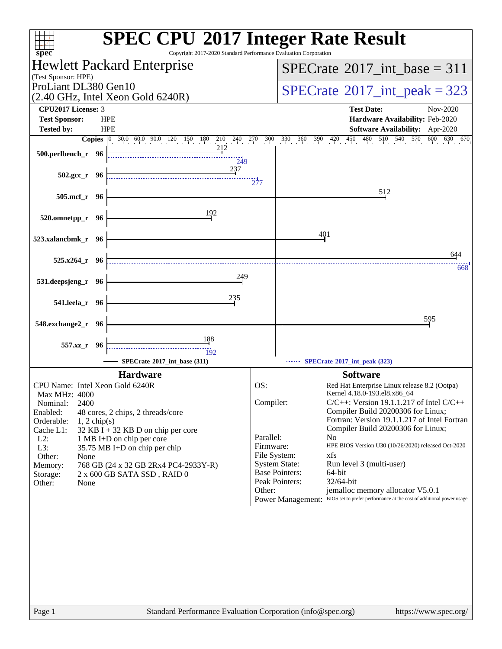| $spec^*$                                                                                                                                          | <b>SPEC CPU®2017 Integer Rate Result</b><br>Copyright 2017-2020 Standard Performance Evaluation Corporation                          |
|---------------------------------------------------------------------------------------------------------------------------------------------------|--------------------------------------------------------------------------------------------------------------------------------------|
| <b>Hewlett Packard Enterprise</b>                                                                                                                 | $SPECrate^{\circledast}2017\_int\_base = 311$                                                                                        |
| (Test Sponsor: HPE)<br>ProLiant DL380 Gen10                                                                                                       |                                                                                                                                      |
| $(2.40 \text{ GHz}, \text{Intel Xeon Gold } 6240\text{R})$                                                                                        | $SPECTate$ <sup>®</sup> 2017_int_peak = 323                                                                                          |
| CPU2017 License: 3                                                                                                                                | <b>Test Date:</b><br>Nov-2020                                                                                                        |
| <b>Test Sponsor:</b><br><b>HPE</b>                                                                                                                | Hardware Availability: Feb-2020                                                                                                      |
| <b>Tested by:</b><br><b>HPE</b><br><b>Copies</b> $\begin{bmatrix} 0 & 30.0 & 60.0 & 90.0 & 120 & 150 & 180 & 210 & 240 & 270 & 300 \end{bmatrix}$ | Software Availability: Apr-2020<br>$330$ $360$ $390$ $420$ $450$ $480$ $510$ $540$ $570$<br>600 630 670                              |
| 212<br>500.perlbench_r 96                                                                                                                         |                                                                                                                                      |
| 249                                                                                                                                               |                                                                                                                                      |
| 237<br>$502.\text{gcc r}$ 96                                                                                                                      | 277                                                                                                                                  |
| 505.mcf_r 96                                                                                                                                      | 512                                                                                                                                  |
|                                                                                                                                                   |                                                                                                                                      |
| 192<br>520.omnetpp_r 96                                                                                                                           |                                                                                                                                      |
|                                                                                                                                                   | 401                                                                                                                                  |
| 523.xalancbmk_r 96                                                                                                                                |                                                                                                                                      |
| 525.x264 r 96                                                                                                                                     | 644                                                                                                                                  |
| 249                                                                                                                                               | 668                                                                                                                                  |
| 531.deepsjeng_r 96                                                                                                                                |                                                                                                                                      |
| 235<br>541.leela_r 96                                                                                                                             |                                                                                                                                      |
|                                                                                                                                                   | 595                                                                                                                                  |
| 548.exchange2_r 96                                                                                                                                |                                                                                                                                      |
| 188<br>557.xz r 96                                                                                                                                |                                                                                                                                      |
| 192<br>SPECrate®2017_int_base (311)                                                                                                               | SPECrate®2017_int_peak (323)                                                                                                         |
| <b>Hardware</b>                                                                                                                                   | <b>Software</b>                                                                                                                      |
| CPU Name: Intel Xeon Gold 6240R                                                                                                                   | OS:<br>Red Hat Enterprise Linux release 8.2 (Ootpa)                                                                                  |
| Max MHz: 4000                                                                                                                                     | Kernel 4.18.0-193.el8.x86_64<br>Compiler:<br>$C/C++$ : Version 19.1.1.217 of Intel $C/C++$                                           |
| 2400<br>Nominal:<br>Enabled:<br>48 cores, 2 chips, 2 threads/core                                                                                 | Compiler Build 20200306 for Linux;                                                                                                   |
| Orderable:<br>$1, 2$ chip(s)                                                                                                                      | Fortran: Version 19.1.1.217 of Intel Fortran<br>Compiler Build 20200306 for Linux;                                                   |
| Cache L1:<br>32 KB I + 32 KB D on chip per core<br>$L2$ :<br>1 MB I+D on chip per core                                                            | Parallel:<br>N <sub>0</sub>                                                                                                          |
| L3:<br>35.75 MB I+D on chip per chip                                                                                                              | Firmware:<br>HPE BIOS Version U30 (10/26/2020) released Oct-2020                                                                     |
| Other:<br>None<br>768 GB (24 x 32 GB 2Rx4 PC4-2933Y-R)<br>Memory:                                                                                 | File System:<br>xfs<br><b>System State:</b><br>Run level 3 (multi-user)                                                              |
| 2 x 600 GB SATA SSD, RAID 0<br>Storage:                                                                                                           | <b>Base Pointers:</b><br>64-bit                                                                                                      |
| Other:<br>None                                                                                                                                    | Peak Pointers:<br>32/64-bit                                                                                                          |
|                                                                                                                                                   | Other:<br>jemalloc memory allocator V5.0.1<br>Power Management: BIOS set to prefer performance at the cost of additional power usage |
|                                                                                                                                                   |                                                                                                                                      |
| Page 1                                                                                                                                            | Standard Performance Evaluation Corporation (info@spec.org)<br>https://www.spec.org/                                                 |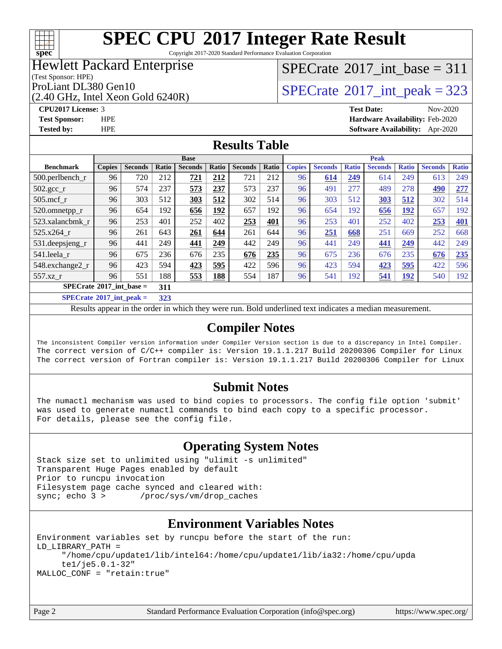

Copyright 2017-2020 Standard Performance Evaluation Corporation

### Hewlett Packard Enterprise

(Test Sponsor: HPE)

(2.40 GHz, Intel Xeon Gold 6240R)

### $SPECrate$ <sup>®</sup>[2017\\_int\\_base =](http://www.spec.org/auto/cpu2017/Docs/result-fields.html#SPECrate2017intbase) 311

ProLiant DL380 Gen10<br>  $\boxed{SPECrate^{\circ}2017\_int\_peak = 323}$  $\boxed{SPECrate^{\circ}2017\_int\_peak = 323}$  $\boxed{SPECrate^{\circ}2017\_int\_peak = 323}$ 

#### **[CPU2017 License:](http://www.spec.org/auto/cpu2017/Docs/result-fields.html#CPU2017License)** 3 **[Test Date:](http://www.spec.org/auto/cpu2017/Docs/result-fields.html#TestDate)** Nov-2020 **[Test Sponsor:](http://www.spec.org/auto/cpu2017/Docs/result-fields.html#TestSponsor)** HPE **[Hardware Availability:](http://www.spec.org/auto/cpu2017/Docs/result-fields.html#HardwareAvailability)** Feb-2020 **[Tested by:](http://www.spec.org/auto/cpu2017/Docs/result-fields.html#Testedby)** HPE **[Software Availability:](http://www.spec.org/auto/cpu2017/Docs/result-fields.html#SoftwareAvailability)** Apr-2020

#### **[Results Table](http://www.spec.org/auto/cpu2017/Docs/result-fields.html#ResultsTable)**

| <b>Base</b>                                                                                         |               |                |               |                | <b>Peak</b> |                |       |               |                |              |                |              |                |              |
|-----------------------------------------------------------------------------------------------------|---------------|----------------|---------------|----------------|-------------|----------------|-------|---------------|----------------|--------------|----------------|--------------|----------------|--------------|
| <b>Benchmark</b>                                                                                    | <b>Copies</b> | <b>Seconds</b> | Ratio         | <b>Seconds</b> | Ratio       | <b>Seconds</b> | Ratio | <b>Copies</b> | <b>Seconds</b> | <b>Ratio</b> | <b>Seconds</b> | <b>Ratio</b> | <b>Seconds</b> | <b>Ratio</b> |
| 500.perlbench_r                                                                                     | 96            | 720            | 212           | 721            | 212         | 721            | 212   | 96            | 614            | 249          | 614            | 249          | 613            | 249          |
| $502.\text{gcc}$ _r                                                                                 | 96            | 574            | 237           | 573            | 237         | 573            | 237   | 96            | 491            | 277          | 489            | 278          | 490            | 277          |
| $505$ .mcf r                                                                                        | 96            | 303            | 512           | 303            | 512         | 302            | 514   | 96            | 303            | 512          | 303            | 512          | 302            | 514          |
| 520.omnetpp_r                                                                                       | 96            | 654            | 192           | 656            | 192         | 657            | 192   | 96            | 654            | 192          | 656            | <b>192</b>   | 657            | 192          |
| 523.xalancbmk r                                                                                     | 96            | 253            | 401           | 252            | 402         | 253            | 401   | 96            | 253            | 401          | 252            | 402          | 253            | 401          |
| 525.x264 r                                                                                          | 96            | 261            | 643           | 261            | 644         | 261            | 644   | 96            | 251            | 668          | 251            | 669          | 252            | 668          |
| $531.$ deepsjeng $_r$                                                                               | 96            | 441            | 249           | 441            | 249         | 442            | 249   | 96            | 441            | 249          | 441            | 249          | 442            | 249          |
| 541.leela r                                                                                         | 96            | 675            | 236           | 676            | 235         | 676            | 235   | 96            | 675            | 236          | 676            | 235          | 676            | 235          |
| 548.exchange2_r                                                                                     | 96            | 423            | 594           | 423            | 595         | 422            | 596   | 96            | 423            | 594          | 423            | 595          | 422            | 596          |
| 557.xz r                                                                                            | 96            | 551            | 188           | 553            | <u>188</u>  | 554            | 187   | 96            | 541            | 192          | 541            | <u>192</u>   | 540            | 192          |
| $SPECrate^{\circ}2017$ int base =<br>311                                                            |               |                |               |                |             |                |       |               |                |              |                |              |                |              |
| $C1$ $A0$ $A1$ $A2$ $A3$ $A4$ $A5$ $A6$ $A7$ $A8$ $A9$ $A1$ $A1$ $A2$ $A3$ $A1$ $A2$ $A3$ $A1$ $A2$ |               |                | $\sim$ $\sim$ |                |             |                |       |               |                |              |                |              |                |              |

**[SPECrate](http://www.spec.org/auto/cpu2017/Docs/result-fields.html#SPECrate2017intpeak)[2017\\_int\\_peak =](http://www.spec.org/auto/cpu2017/Docs/result-fields.html#SPECrate2017intpeak) 323**

Results appear in the [order in which they were run](http://www.spec.org/auto/cpu2017/Docs/result-fields.html#RunOrder). Bold underlined text [indicates a median measurement](http://www.spec.org/auto/cpu2017/Docs/result-fields.html#Median).

#### **[Compiler Notes](http://www.spec.org/auto/cpu2017/Docs/result-fields.html#CompilerNotes)**

The inconsistent Compiler version information under Compiler Version section is due to a discrepancy in Intel Compiler. The correct version of C/C++ compiler is: Version 19.1.1.217 Build 20200306 Compiler for Linux The correct version of Fortran compiler is: Version 19.1.1.217 Build 20200306 Compiler for Linux

#### **[Submit Notes](http://www.spec.org/auto/cpu2017/Docs/result-fields.html#SubmitNotes)**

The numactl mechanism was used to bind copies to processors. The config file option 'submit' was used to generate numactl commands to bind each copy to a specific processor. For details, please see the config file.

#### **[Operating System Notes](http://www.spec.org/auto/cpu2017/Docs/result-fields.html#OperatingSystemNotes)**

Stack size set to unlimited using "ulimit -s unlimited" Transparent Huge Pages enabled by default Prior to runcpu invocation Filesystem page cache synced and cleared with: sync; echo 3 > /proc/sys/vm/drop\_caches

#### **[Environment Variables Notes](http://www.spec.org/auto/cpu2017/Docs/result-fields.html#EnvironmentVariablesNotes)**

```
Environment variables set by runcpu before the start of the run:
LD_LIBRARY_PATH =
      "/home/cpu/update1/lib/intel64:/home/cpu/update1/lib/ia32:/home/cpu/upda
      te1/je5.0.1-32"
MALLOC_CONF = "retain:true"
```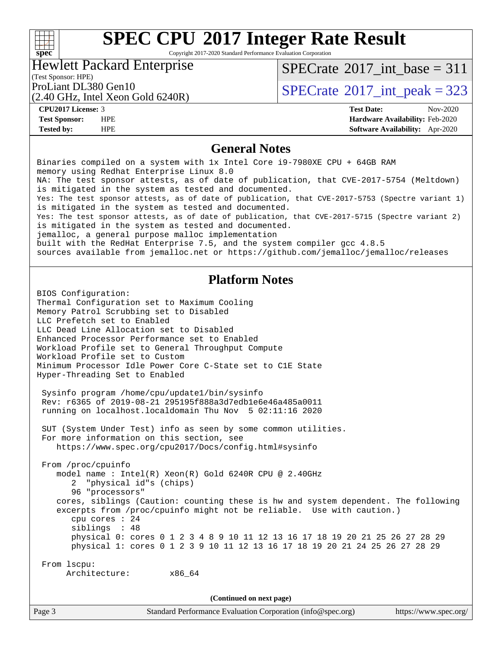#### $+\hskip -1.5pt +\hskip -1.5pt +$ **[spec](http://www.spec.org/)**

# **[SPEC CPU](http://www.spec.org/auto/cpu2017/Docs/result-fields.html#SPECCPU2017IntegerRateResult)[2017 Integer Rate Result](http://www.spec.org/auto/cpu2017/Docs/result-fields.html#SPECCPU2017IntegerRateResult)**

Copyright 2017-2020 Standard Performance Evaluation Corporation

#### Hewlett Packard Enterprise

 $SPECTate$ <sup>®</sup>[2017\\_int\\_base =](http://www.spec.org/auto/cpu2017/Docs/result-fields.html#SPECrate2017intbase) 311

### (Test Sponsor: HPE)

(2.40 GHz, Intel Xeon Gold 6240R)

### ProLiant DL380 Gen10<br>  $\angle Q$  40 GHz, Intel Year Gald 6240P)<br> [SPECrate](http://www.spec.org/auto/cpu2017/Docs/result-fields.html#SPECrate2017intpeak)®[2017\\_int\\_peak = 3](http://www.spec.org/auto/cpu2017/Docs/result-fields.html#SPECrate2017intpeak)23

**[CPU2017 License:](http://www.spec.org/auto/cpu2017/Docs/result-fields.html#CPU2017License)** 3 **[Test Date:](http://www.spec.org/auto/cpu2017/Docs/result-fields.html#TestDate)** Nov-2020 **[Test Sponsor:](http://www.spec.org/auto/cpu2017/Docs/result-fields.html#TestSponsor)** HPE **[Hardware Availability:](http://www.spec.org/auto/cpu2017/Docs/result-fields.html#HardwareAvailability)** Feb-2020 **[Tested by:](http://www.spec.org/auto/cpu2017/Docs/result-fields.html#Testedby)** HPE **[Software Availability:](http://www.spec.org/auto/cpu2017/Docs/result-fields.html#SoftwareAvailability)** Apr-2020

#### **[General Notes](http://www.spec.org/auto/cpu2017/Docs/result-fields.html#GeneralNotes)**

Page 3 Standard Performance Evaluation Corporation [\(info@spec.org\)](mailto:info@spec.org) <https://www.spec.org/> Binaries compiled on a system with 1x Intel Core i9-7980XE CPU + 64GB RAM memory using Redhat Enterprise Linux 8.0 NA: The test sponsor attests, as of date of publication, that CVE-2017-5754 (Meltdown) is mitigated in the system as tested and documented. Yes: The test sponsor attests, as of date of publication, that CVE-2017-5753 (Spectre variant 1) is mitigated in the system as tested and documented. Yes: The test sponsor attests, as of date of publication, that CVE-2017-5715 (Spectre variant 2) is mitigated in the system as tested and documented. jemalloc, a general purpose malloc implementation built with the RedHat Enterprise 7.5, and the system compiler gcc 4.8.5 sources available from jemalloc.net or<https://github.com/jemalloc/jemalloc/releases> **[Platform Notes](http://www.spec.org/auto/cpu2017/Docs/result-fields.html#PlatformNotes)** BIOS Configuration: Thermal Configuration set to Maximum Cooling Memory Patrol Scrubbing set to Disabled LLC Prefetch set to Enabled LLC Dead Line Allocation set to Disabled Enhanced Processor Performance set to Enabled Workload Profile set to General Throughput Compute Workload Profile set to Custom Minimum Processor Idle Power Core C-State set to C1E State Hyper-Threading Set to Enabled Sysinfo program /home/cpu/update1/bin/sysinfo Rev: r6365 of 2019-08-21 295195f888a3d7edb1e6e46a485a0011 running on localhost.localdomain Thu Nov 5 02:11:16 2020 SUT (System Under Test) info as seen by some common utilities. For more information on this section, see <https://www.spec.org/cpu2017/Docs/config.html#sysinfo> From /proc/cpuinfo model name : Intel(R) Xeon(R) Gold 6240R CPU @ 2.40GHz 2 "physical id"s (chips) 96 "processors" cores, siblings (Caution: counting these is hw and system dependent. The following excerpts from /proc/cpuinfo might not be reliable. Use with caution.) cpu cores : 24 siblings : 48 physical 0: cores 0 1 2 3 4 8 9 10 11 12 13 16 17 18 19 20 21 25 26 27 28 29 physical 1: cores 0 1 2 3 9 10 11 12 13 16 17 18 19 20 21 24 25 26 27 28 29 From lscpu: Architecture: x86\_64 **(Continued on next page)**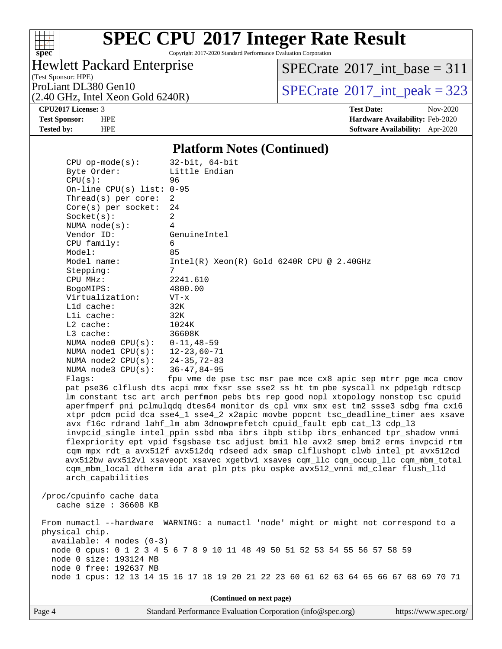

Copyright 2017-2020 Standard Performance Evaluation Corporation

#### Hewlett Packard Enterprise

(2.40 GHz, Intel Xeon Gold 6240R)

(Test Sponsor: HPE)

 $SPECTate$ <sup>®</sup>[2017\\_int\\_base =](http://www.spec.org/auto/cpu2017/Docs/result-fields.html#SPECrate2017intbase) 311

ProLiant DL380 Gen10<br>  $\text{SPECTate}^{\circ}2017\_int\_peak = 323$ 

**[Tested by:](http://www.spec.org/auto/cpu2017/Docs/result-fields.html#Testedby)** HPE **[Software Availability:](http://www.spec.org/auto/cpu2017/Docs/result-fields.html#SoftwareAvailability)** Apr-2020

**[CPU2017 License:](http://www.spec.org/auto/cpu2017/Docs/result-fields.html#CPU2017License)** 3 **[Test Date:](http://www.spec.org/auto/cpu2017/Docs/result-fields.html#TestDate)** Nov-2020 **[Test Sponsor:](http://www.spec.org/auto/cpu2017/Docs/result-fields.html#TestSponsor)** HPE **[Hardware Availability:](http://www.spec.org/auto/cpu2017/Docs/result-fields.html#HardwareAvailability)** Feb-2020

#### **[Platform Notes \(Continued\)](http://www.spec.org/auto/cpu2017/Docs/result-fields.html#PlatformNotes)**

 CPU op-mode(s): 32-bit, 64-bit Byte Order: Little Endian CPU(s): 96 On-line CPU(s) list: 0-95 Thread(s) per core: 2 Core(s) per socket: 24  $Socket(s):$  NUMA node(s): 4 Vendor ID: GenuineIntel CPU family: 6 Model: 85 Model name: Intel(R) Xeon(R) Gold 6240R CPU @ 2.40GHz Stepping: CPU MHz: 2241.610 BogoMIPS: 4800.00 Virtualization: VT-x L1d cache: 32K L1i cache: 32K L2 cache: 1024K L3 cache: 36608K NUMA node0 CPU(s): 0-11,48-59 NUMA node1 CPU(s): 12-23,60-71 NUMA node2 CPU(s): 24-35,72-83 NUMA node3 CPU(s): 36-47,84-95 Flags: fpu vme de pse tsc msr pae mce cx8 apic sep mtrr pge mca cmov pat pse36 clflush dts acpi mmx fxsr sse sse2 ss ht tm pbe syscall nx pdpe1gb rdtscp lm constant\_tsc art arch\_perfmon pebs bts rep\_good nopl xtopology nonstop\_tsc cpuid aperfmperf pni pclmulqdq dtes64 monitor ds\_cpl vmx smx est tm2 ssse3 sdbg fma cx16 xtpr pdcm pcid dca sse4\_1 sse4\_2 x2apic movbe popcnt tsc\_deadline\_timer aes xsave avx f16c rdrand lahf\_lm abm 3dnowprefetch cpuid\_fault epb cat\_l3 cdp\_l3 invpcid\_single intel\_ppin ssbd mba ibrs ibpb stibp ibrs\_enhanced tpr\_shadow vnmi flexpriority ept vpid fsgsbase tsc\_adjust bmi1 hle avx2 smep bmi2 erms invpcid rtm cqm mpx rdt\_a avx512f avx512dq rdseed adx smap clflushopt clwb intel\_pt avx512cd avx512bw avx512vl xsaveopt xsavec xgetbv1 xsaves cqm\_llc cqm\_occup\_llc cqm\_mbm\_total cqm\_mbm\_local dtherm ida arat pln pts pku ospke avx512\_vnni md\_clear flush\_l1d arch\_capabilities /proc/cpuinfo cache data cache size : 36608 KB From numactl --hardware WARNING: a numactl 'node' might or might not correspond to a physical chip. available: 4 nodes (0-3) node 0 cpus: 0 1 2 3 4 5 6 7 8 9 10 11 48 49 50 51 52 53 54 55 56 57 58 59 node 0 size: 193124 MB node 0 free: 192637 MB

node 1 cpus: 12 13 14 15 16 17 18 19 20 21 22 23 60 61 62 63 64 65 66 67 68 69 70 71

**(Continued on next page)**

Page 4 Standard Performance Evaluation Corporation [\(info@spec.org\)](mailto:info@spec.org) <https://www.spec.org/>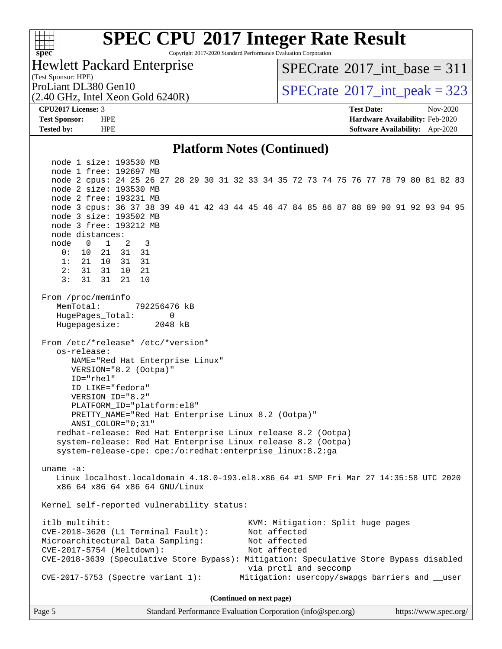#### $+\ +$ **[spec](http://www.spec.org/)**

# **[SPEC CPU](http://www.spec.org/auto/cpu2017/Docs/result-fields.html#SPECCPU2017IntegerRateResult)[2017 Integer Rate Result](http://www.spec.org/auto/cpu2017/Docs/result-fields.html#SPECCPU2017IntegerRateResult)**

Copyright 2017-2020 Standard Performance Evaluation Corporation

Hewlett Packard Enterprise

(2.40 GHz, Intel Xeon Gold 6240R)

 $SPECTate$ <sup>®</sup>[2017\\_int\\_base =](http://www.spec.org/auto/cpu2017/Docs/result-fields.html#SPECrate2017intbase) 311

(Test Sponsor: HPE)

ProLiant DL380 Gen10<br>  $SPECrate^{\circ}2017$  $SPECrate^{\circ}2017$ \_int\_peak = 323

**[CPU2017 License:](http://www.spec.org/auto/cpu2017/Docs/result-fields.html#CPU2017License)** 3 **[Test Date:](http://www.spec.org/auto/cpu2017/Docs/result-fields.html#TestDate)** Nov-2020 **[Test Sponsor:](http://www.spec.org/auto/cpu2017/Docs/result-fields.html#TestSponsor)** HPE **[Hardware Availability:](http://www.spec.org/auto/cpu2017/Docs/result-fields.html#HardwareAvailability)** Feb-2020 **[Tested by:](http://www.spec.org/auto/cpu2017/Docs/result-fields.html#Testedby)** HPE **[Software Availability:](http://www.spec.org/auto/cpu2017/Docs/result-fields.html#SoftwareAvailability)** Apr-2020

#### **[Platform Notes \(Continued\)](http://www.spec.org/auto/cpu2017/Docs/result-fields.html#PlatformNotes)**

 node 1 size: 193530 MB node 1 free: 192697 MB node 2 cpus: 24 25 26 27 28 29 30 31 32 33 34 35 72 73 74 75 76 77 78 79 80 81 82 83 node 2 size: 193530 MB node 2 free: 193231 MB node 3 cpus: 36 37 38 39 40 41 42 43 44 45 46 47 84 85 86 87 88 89 90 91 92 93 94 95 node 3 size: 193502 MB node 3 free: 193212 MB node distances: node 0 1 2 3 0: 10 21 31 31 1: 21 10 31 31 2: 31 31 10 21 3: 31 31 21 10 From /proc/meminfo MemTotal: 792256476 kB HugePages\_Total: 0 Hugepagesize: 2048 kB From /etc/\*release\* /etc/\*version\* os-release: NAME="Red Hat Enterprise Linux" VERSION="8.2 (Ootpa)" ID="rhel" ID\_LIKE="fedora" VERSION\_ID="8.2" PLATFORM\_ID="platform:el8" PRETTY\_NAME="Red Hat Enterprise Linux 8.2 (Ootpa)" ANSI\_COLOR="0;31" redhat-release: Red Hat Enterprise Linux release 8.2 (Ootpa) system-release: Red Hat Enterprise Linux release 8.2 (Ootpa) system-release-cpe: cpe:/o:redhat:enterprise\_linux:8.2:ga uname -a: Linux localhost.localdomain 4.18.0-193.el8.x86\_64 #1 SMP Fri Mar 27 14:35:58 UTC 2020 x86\_64 x86\_64 x86\_64 GNU/Linux Kernel self-reported vulnerability status: itlb\_multihit: KVM: Mitigation: Split huge pages CVE-2018-3620 (L1 Terminal Fault): Not affected Microarchitectural Data Sampling: Not affected CVE-2017-5754 (Meltdown): Not affected CVE-2018-3639 (Speculative Store Bypass): Mitigation: Speculative Store Bypass disabled via prctl and seccomp CVE-2017-5753 (Spectre variant 1): Mitigation: usercopy/swapgs barriers and \_\_user **(Continued on next page)**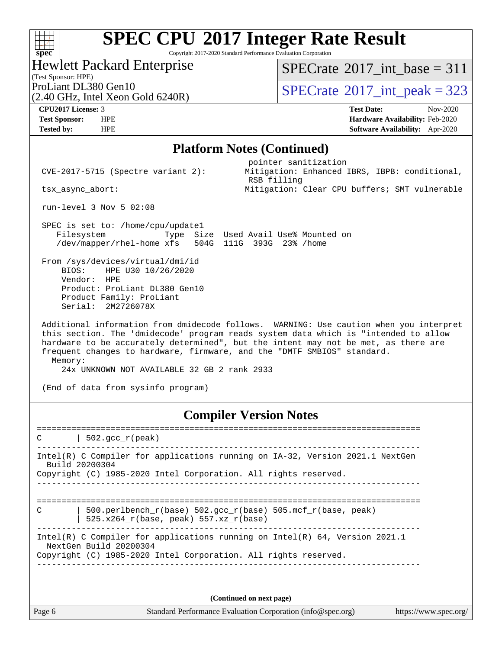Copyright 2017-2020 Standard Performance Evaluation Corporation

#### Hewlett Packard Enterprise

(Test Sponsor: HPE)

 $SPECrate$ <sup>®</sup>[2017\\_int\\_base =](http://www.spec.org/auto/cpu2017/Docs/result-fields.html#SPECrate2017intbase) 311

(2.40 GHz, Intel Xeon Gold 6240R)

ProLiant DL380 Gen10<br>  $\boxed{SPECrate^{\circ}2017\_int\_peak} = 323$  $\boxed{SPECrate^{\circ}2017\_int\_peak} = 323$  $\boxed{SPECrate^{\circ}2017\_int\_peak} = 323$ 

**[spec](http://www.spec.org/)**

 $+\hskip -1.5pt +\hskip -1.5pt +$ 

**[CPU2017 License:](http://www.spec.org/auto/cpu2017/Docs/result-fields.html#CPU2017License)** 3 **[Test Date:](http://www.spec.org/auto/cpu2017/Docs/result-fields.html#TestDate)** Nov-2020 **[Test Sponsor:](http://www.spec.org/auto/cpu2017/Docs/result-fields.html#TestSponsor)** HPE **[Hardware Availability:](http://www.spec.org/auto/cpu2017/Docs/result-fields.html#HardwareAvailability)** Feb-2020 **[Tested by:](http://www.spec.org/auto/cpu2017/Docs/result-fields.html#Testedby)** HPE **[Software Availability:](http://www.spec.org/auto/cpu2017/Docs/result-fields.html#SoftwareAvailability)** Apr-2020

#### **[Platform Notes \(Continued\)](http://www.spec.org/auto/cpu2017/Docs/result-fields.html#PlatformNotes)**

pointer sanitization

RSB filling

CVE-2017-5715 (Spectre variant 2): Mitigation: Enhanced IBRS, IBPB: conditional,

tsx\_async\_abort: Mitigation: Clear CPU buffers; SMT vulnerable

run-level 3 Nov 5 02:08

 SPEC is set to: /home/cpu/update1 Filesystem Type Size Used Avail Use% Mounted on /dev/mapper/rhel-home xfs 504G 111G 393G 23% /home

 From /sys/devices/virtual/dmi/id BIOS: HPE U30 10/26/2020 Vendor: HPE Product: ProLiant DL380 Gen10 Product Family: ProLiant Serial: 2M2726078X

 Additional information from dmidecode follows. WARNING: Use caution when you interpret this section. The 'dmidecode' program reads system data which is "intended to allow hardware to be accurately determined", but the intent may not be met, as there are frequent changes to hardware, firmware, and the "DMTF SMBIOS" standard. Memory:

24x UNKNOWN NOT AVAILABLE 32 GB 2 rank 2933

(End of data from sysinfo program)

#### **[Compiler Version Notes](http://www.spec.org/auto/cpu2017/Docs/result-fields.html#CompilerVersionNotes)**

==============================================================================  $C \qquad | \quad 502.\text{gcc\_r}(\text{peak})$ ------------------------------------------------------------------------------ Intel(R) C Compiler for applications running on IA-32, Version 2021.1 NextGen Build 20200304 Copyright (C) 1985-2020 Intel Corporation. All rights reserved. ------------------------------------------------------------------------------ ============================================================================== C | 500.perlbench\_r(base) 502.gcc\_r(base) 505.mcf\_r(base, peak) | 525.x264\_r(base, peak) 557.xz\_r(base) ------------------------------------------------------------------------------ Intel(R) C Compiler for applications running on Intel(R) 64, Version 2021.1 NextGen Build 20200304 Copyright (C) 1985-2020 Intel Corporation. All rights reserved. ------------------------------------------------------------------------------

**(Continued on next page)**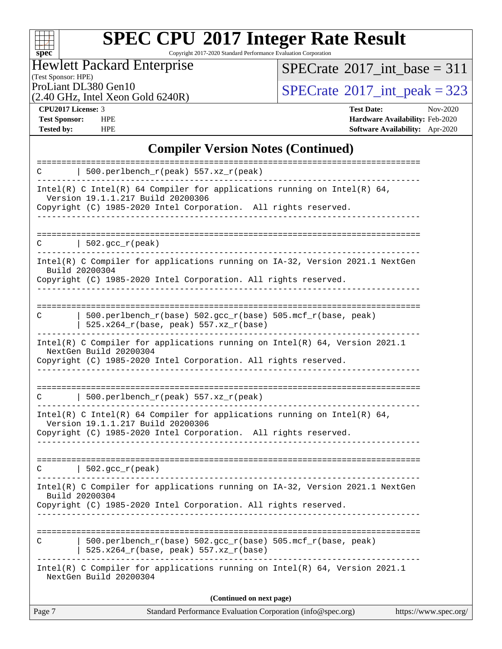

Copyright 2017-2020 Standard Performance Evaluation Corporation

Hewlett Packard Enterprise

(2.40 GHz, Intel Xeon Gold 6240R)

 $SPECTate$ <sup>®</sup>[2017\\_int\\_base =](http://www.spec.org/auto/cpu2017/Docs/result-fields.html#SPECrate2017intbase) 311

(Test Sponsor: HPE)

ProLiant DL380 Gen10<br>  $(2.40 \text{ GHz})$  Intel Xeon Gold 6240R)

**[CPU2017 License:](http://www.spec.org/auto/cpu2017/Docs/result-fields.html#CPU2017License)** 3 **[Test Date:](http://www.spec.org/auto/cpu2017/Docs/result-fields.html#TestDate)** Nov-2020 **[Test Sponsor:](http://www.spec.org/auto/cpu2017/Docs/result-fields.html#TestSponsor)** HPE **[Hardware Availability:](http://www.spec.org/auto/cpu2017/Docs/result-fields.html#HardwareAvailability)** Feb-2020 **[Tested by:](http://www.spec.org/auto/cpu2017/Docs/result-fields.html#Testedby)** HPE **[Software Availability:](http://www.spec.org/auto/cpu2017/Docs/result-fields.html#SoftwareAvailability)** Apr-2020

#### **[Compiler Version Notes \(Continued\)](http://www.spec.org/auto/cpu2017/Docs/result-fields.html#CompilerVersionNotes)**

| Page 7 | Standard Performance Evaluation Corporation (info@spec.org)<br>https://www.spec.org/                                                                                             |
|--------|----------------------------------------------------------------------------------------------------------------------------------------------------------------------------------|
|        | (Continued on next page)                                                                                                                                                         |
|        | Intel(R) C Compiler for applications running on $Intel(R) 64$ , Version 2021.1<br>NextGen Build 20200304                                                                         |
| C      | 500.perlbench_r(base) 502.gcc_r(base) 505.mcf_r(base, peak)<br>525.x264_r(base, peak) 557.xz_r(base)                                                                             |
|        | Copyright (C) 1985-2020 Intel Corporation. All rights reserved.                                                                                                                  |
|        | Intel(R) C Compiler for applications running on IA-32, Version 2021.1 NextGen<br>Build 20200304                                                                                  |
| C      | $\vert$ 502.gcc_r(peak)                                                                                                                                                          |
|        | Intel(R) C Intel(R) 64 Compiler for applications running on Intel(R) 64,<br>Version 19.1.1.217 Build 20200306<br>Copyright (C) 1985-2020 Intel Corporation. All rights reserved. |
| C      | $500.perlbench_r(peak) 557. xz_r(peak)$                                                                                                                                          |
|        | Copyright (C) 1985-2020 Intel Corporation. All rights reserved.                                                                                                                  |
|        | Intel(R) C Compiler for applications running on $Intel(R) 64$ , Version 2021.1<br>NextGen Build 20200304                                                                         |
| C      | 500.perlbench_r(base) 502.gcc_r(base) 505.mcf_r(base, peak)<br>525.x264_r(base, peak) 557.xz_r(base)                                                                             |
|        | Intel(R) C Compiler for applications running on IA-32, Version 2021.1 NextGen<br>Build 20200304<br>Copyright (C) 1985-2020 Intel Corporation. All rights reserved.               |
| C      | $\vert$ 502.gcc_r(peak)                                                                                                                                                          |
|        | Copyright (C) 1985-2020 Intel Corporation. All rights reserved.                                                                                                                  |
|        | Intel(R) C Intel(R) 64 Compiler for applications running on Intel(R) 64,<br>Version 19.1.1.217 Build 20200306                                                                    |
| C      | 500.perlbench_r(peak) 557.xz_r(peak)                                                                                                                                             |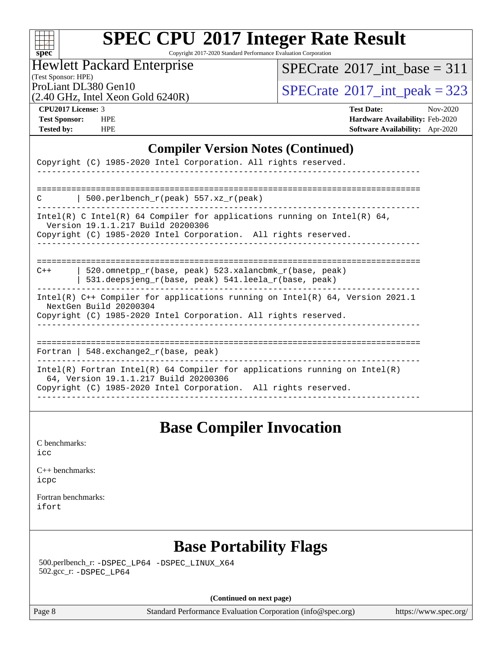| N | S.<br>U | e |  |
|---|---------|---|--|

Copyright 2017-2020 Standard Performance Evaluation Corporation

Hewlett Packard Enterprise

 $SPECTate$ <sup>®</sup>[2017\\_int\\_base =](http://www.spec.org/auto/cpu2017/Docs/result-fields.html#SPECrate2017intbase) 311

(Test Sponsor: HPE)

ProLiant DL380 Gen10<br>  $(2.40 \text{ GHz})$  Intel Xeon Gold 6240R)

(2.40 GHz, Intel Xeon Gold 6240R)

**[CPU2017 License:](http://www.spec.org/auto/cpu2017/Docs/result-fields.html#CPU2017License)** 3 **[Test Date:](http://www.spec.org/auto/cpu2017/Docs/result-fields.html#TestDate)** Nov-2020 **[Test Sponsor:](http://www.spec.org/auto/cpu2017/Docs/result-fields.html#TestSponsor)** HPE **[Hardware Availability:](http://www.spec.org/auto/cpu2017/Docs/result-fields.html#HardwareAvailability)** Feb-2020 **[Tested by:](http://www.spec.org/auto/cpu2017/Docs/result-fields.html#Testedby)** HPE **[Software Availability:](http://www.spec.org/auto/cpu2017/Docs/result-fields.html#SoftwareAvailability)** Apr-2020

#### **[Compiler Version Notes \(Continued\)](http://www.spec.org/auto/cpu2017/Docs/result-fields.html#CompilerVersionNotes)**

| Copyright (C) 1985-2020 Intel Corporation. All rights reserved.                                                                                                                          |
|------------------------------------------------------------------------------------------------------------------------------------------------------------------------------------------|
|                                                                                                                                                                                          |
| 500.perlbench $r(\text{peak})$ 557.xz $r(\text{peak})$<br>C                                                                                                                              |
| Intel(R) C Intel(R) 64 Compiler for applications running on Intel(R) 64,<br>Version 19.1.1.217 Build 20200306<br>Copyright (C) 1985-2020 Intel Corporation. All rights reserved.         |
|                                                                                                                                                                                          |
| 520.omnetpp r(base, peak) 523.xalancbmk r(base, peak)<br>$C++$<br>531.deepsjeng_r(base, peak) 541.leela_r(base, peak)                                                                    |
| Intel(R) $C++$ Compiler for applications running on Intel(R) 64, Version 2021.1<br>NextGen Build 20200304<br>Copyright (C) 1985-2020 Intel Corporation. All rights reserved.             |
| Fortran   548.exchange2_r(base, peak)                                                                                                                                                    |
| $Intel(R)$ Fortran Intel(R) 64 Compiler for applications running on Intel(R)<br>64, Version 19.1.1.217 Build 20200306<br>Copyright (C) 1985-2020 Intel Corporation. All rights reserved. |
|                                                                                                                                                                                          |

### **[Base Compiler Invocation](http://www.spec.org/auto/cpu2017/Docs/result-fields.html#BaseCompilerInvocation)**

[C benchmarks](http://www.spec.org/auto/cpu2017/Docs/result-fields.html#Cbenchmarks): [icc](http://www.spec.org/cpu2017/results/res2020q4/cpu2017-20201109-24346.flags.html#user_CCbase_intel_icc_66fc1ee009f7361af1fbd72ca7dcefbb700085f36577c54f309893dd4ec40d12360134090235512931783d35fd58c0460139e722d5067c5574d8eaf2b3e37e92)

[C++ benchmarks:](http://www.spec.org/auto/cpu2017/Docs/result-fields.html#CXXbenchmarks) [icpc](http://www.spec.org/cpu2017/results/res2020q4/cpu2017-20201109-24346.flags.html#user_CXXbase_intel_icpc_c510b6838c7f56d33e37e94d029a35b4a7bccf4766a728ee175e80a419847e808290a9b78be685c44ab727ea267ec2f070ec5dc83b407c0218cded6866a35d07)

[Fortran benchmarks](http://www.spec.org/auto/cpu2017/Docs/result-fields.html#Fortranbenchmarks): [ifort](http://www.spec.org/cpu2017/results/res2020q4/cpu2017-20201109-24346.flags.html#user_FCbase_intel_ifort_8111460550e3ca792625aed983ce982f94888b8b503583aa7ba2b8303487b4d8a21a13e7191a45c5fd58ff318f48f9492884d4413fa793fd88dd292cad7027ca)

### **[Base Portability Flags](http://www.spec.org/auto/cpu2017/Docs/result-fields.html#BasePortabilityFlags)**

 500.perlbench\_r: [-DSPEC\\_LP64](http://www.spec.org/cpu2017/results/res2020q4/cpu2017-20201109-24346.flags.html#b500.perlbench_r_basePORTABILITY_DSPEC_LP64) [-DSPEC\\_LINUX\\_X64](http://www.spec.org/cpu2017/results/res2020q4/cpu2017-20201109-24346.flags.html#b500.perlbench_r_baseCPORTABILITY_DSPEC_LINUX_X64) 502.gcc\_r: [-DSPEC\\_LP64](http://www.spec.org/cpu2017/results/res2020q4/cpu2017-20201109-24346.flags.html#suite_basePORTABILITY502_gcc_r_DSPEC_LP64)

**(Continued on next page)**

Page 8 Standard Performance Evaluation Corporation [\(info@spec.org\)](mailto:info@spec.org) <https://www.spec.org/>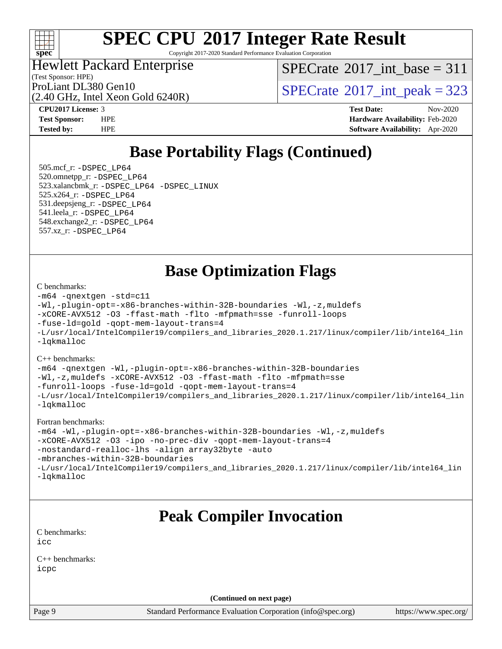

Copyright 2017-2020 Standard Performance Evaluation Corporation

#### Hewlett Packard Enterprise

(2.40 GHz, Intel Xeon Gold 6240R)

(Test Sponsor: HPE)

 $SPECTate$ <sup>®</sup>[2017\\_int\\_base =](http://www.spec.org/auto/cpu2017/Docs/result-fields.html#SPECrate2017intbase) 311

ProLiant DL380 Gen10<br>  $\text{SPECTate}^{\circ}2017\_int\_peak = 323$ 

**[CPU2017 License:](http://www.spec.org/auto/cpu2017/Docs/result-fields.html#CPU2017License)** 3 **[Test Date:](http://www.spec.org/auto/cpu2017/Docs/result-fields.html#TestDate)** Nov-2020 **[Test Sponsor:](http://www.spec.org/auto/cpu2017/Docs/result-fields.html#TestSponsor)** HPE **[Hardware Availability:](http://www.spec.org/auto/cpu2017/Docs/result-fields.html#HardwareAvailability)** Feb-2020 **[Tested by:](http://www.spec.org/auto/cpu2017/Docs/result-fields.html#Testedby)** HPE **[Software Availability:](http://www.spec.org/auto/cpu2017/Docs/result-fields.html#SoftwareAvailability)** Apr-2020

## **[Base Portability Flags \(Continued\)](http://www.spec.org/auto/cpu2017/Docs/result-fields.html#BasePortabilityFlags)**

 505.mcf\_r: [-DSPEC\\_LP64](http://www.spec.org/cpu2017/results/res2020q4/cpu2017-20201109-24346.flags.html#suite_basePORTABILITY505_mcf_r_DSPEC_LP64) 520.omnetpp\_r: [-DSPEC\\_LP64](http://www.spec.org/cpu2017/results/res2020q4/cpu2017-20201109-24346.flags.html#suite_basePORTABILITY520_omnetpp_r_DSPEC_LP64) 523.xalancbmk\_r: [-DSPEC\\_LP64](http://www.spec.org/cpu2017/results/res2020q4/cpu2017-20201109-24346.flags.html#suite_basePORTABILITY523_xalancbmk_r_DSPEC_LP64) [-DSPEC\\_LINUX](http://www.spec.org/cpu2017/results/res2020q4/cpu2017-20201109-24346.flags.html#b523.xalancbmk_r_baseCXXPORTABILITY_DSPEC_LINUX) 525.x264\_r: [-DSPEC\\_LP64](http://www.spec.org/cpu2017/results/res2020q4/cpu2017-20201109-24346.flags.html#suite_basePORTABILITY525_x264_r_DSPEC_LP64) 531.deepsjeng\_r: [-DSPEC\\_LP64](http://www.spec.org/cpu2017/results/res2020q4/cpu2017-20201109-24346.flags.html#suite_basePORTABILITY531_deepsjeng_r_DSPEC_LP64) 541.leela\_r: [-DSPEC\\_LP64](http://www.spec.org/cpu2017/results/res2020q4/cpu2017-20201109-24346.flags.html#suite_basePORTABILITY541_leela_r_DSPEC_LP64) 548.exchange2\_r: [-DSPEC\\_LP64](http://www.spec.org/cpu2017/results/res2020q4/cpu2017-20201109-24346.flags.html#suite_basePORTABILITY548_exchange2_r_DSPEC_LP64) 557.xz\_r: [-DSPEC\\_LP64](http://www.spec.org/cpu2017/results/res2020q4/cpu2017-20201109-24346.flags.html#suite_basePORTABILITY557_xz_r_DSPEC_LP64)

### **[Base Optimization Flags](http://www.spec.org/auto/cpu2017/Docs/result-fields.html#BaseOptimizationFlags)**

#### [C benchmarks](http://www.spec.org/auto/cpu2017/Docs/result-fields.html#Cbenchmarks):

```
-m64 -qnextgen -std=c11
-Wl,-plugin-opt=-x86-branches-within-32B-boundaries -Wl,-z,muldefs
-xCORE-AVX512 -O3 -ffast-math -flto -mfpmath=sse -funroll-loops
-fuse-ld=gold -qopt-mem-layout-trans=4
-L/usr/local/IntelCompiler19/compilers_and_libraries_2020.1.217/linux/compiler/lib/intel64_lin
-lqkmalloc
```
#### [C++ benchmarks](http://www.spec.org/auto/cpu2017/Docs/result-fields.html#CXXbenchmarks):

```
-m64 -qnextgen -Wl,-plugin-opt=-x86-branches-within-32B-boundaries
-Wl,-z,muldefs -xCORE-AVX512 -O3 -ffast-math -flto -mfpmath=sse
-funroll-loops -fuse-ld=gold -qopt-mem-layout-trans=4
-L/usr/local/IntelCompiler19/compilers_and_libraries_2020.1.217/linux/compiler/lib/intel64_lin
-lqkmalloc
```
#### [Fortran benchmarks:](http://www.spec.org/auto/cpu2017/Docs/result-fields.html#Fortranbenchmarks)

```
-m64 -Wl,-plugin-opt=-x86-branches-within-32B-boundaries -Wl,-z,muldefs
-xCORE-AVX512 -O3 -ipo -no-prec-div -qopt-mem-layout-trans=4
-nostandard-realloc-lhs -align array32byte -auto
-mbranches-within-32B-boundaries
-L/usr/local/IntelCompiler19/compilers_and_libraries_2020.1.217/linux/compiler/lib/intel64_lin
-lqkmalloc
```
### **[Peak Compiler Invocation](http://www.spec.org/auto/cpu2017/Docs/result-fields.html#PeakCompilerInvocation)**

[C benchmarks](http://www.spec.org/auto/cpu2017/Docs/result-fields.html#Cbenchmarks): [icc](http://www.spec.org/cpu2017/results/res2020q4/cpu2017-20201109-24346.flags.html#user_CCpeak_intel_icc_66fc1ee009f7361af1fbd72ca7dcefbb700085f36577c54f309893dd4ec40d12360134090235512931783d35fd58c0460139e722d5067c5574d8eaf2b3e37e92)

[C++ benchmarks:](http://www.spec.org/auto/cpu2017/Docs/result-fields.html#CXXbenchmarks) [icpc](http://www.spec.org/cpu2017/results/res2020q4/cpu2017-20201109-24346.flags.html#user_CXXpeak_intel_icpc_c510b6838c7f56d33e37e94d029a35b4a7bccf4766a728ee175e80a419847e808290a9b78be685c44ab727ea267ec2f070ec5dc83b407c0218cded6866a35d07)

**(Continued on next page)**

Page 9 Standard Performance Evaluation Corporation [\(info@spec.org\)](mailto:info@spec.org) <https://www.spec.org/>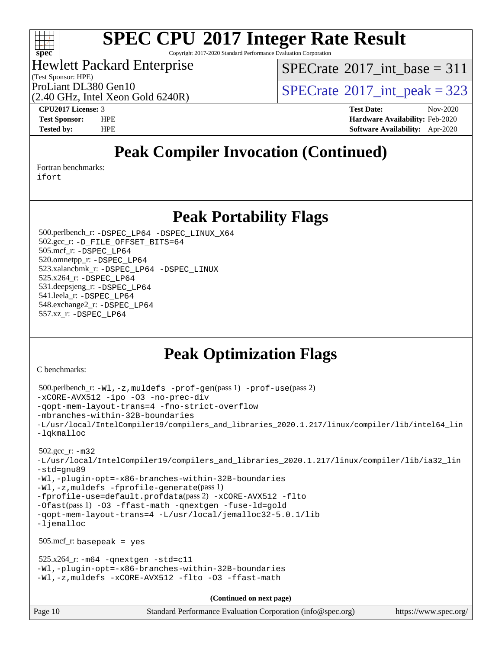

Copyright 2017-2020 Standard Performance Evaluation Corporation

#### Hewlett Packard Enterprise

(Test Sponsor: HPE)

 $SPECTate$ <sup>®</sup>[2017\\_int\\_base =](http://www.spec.org/auto/cpu2017/Docs/result-fields.html#SPECrate2017intbase) 311

ProLiant DL380 Gen10<br>  $SPECTate$ <sup>®</sup>[2017\\_int\\_peak = 3](http://www.spec.org/auto/cpu2017/Docs/result-fields.html#SPECrate2017intpeak)23

(2.40 GHz, Intel Xeon Gold 6240R)

**[CPU2017 License:](http://www.spec.org/auto/cpu2017/Docs/result-fields.html#CPU2017License)** 3 **[Test Date:](http://www.spec.org/auto/cpu2017/Docs/result-fields.html#TestDate)** Nov-2020 **[Test Sponsor:](http://www.spec.org/auto/cpu2017/Docs/result-fields.html#TestSponsor)** HPE **[Hardware Availability:](http://www.spec.org/auto/cpu2017/Docs/result-fields.html#HardwareAvailability)** Feb-2020 **[Tested by:](http://www.spec.org/auto/cpu2017/Docs/result-fields.html#Testedby)** HPE **[Software Availability:](http://www.spec.org/auto/cpu2017/Docs/result-fields.html#SoftwareAvailability)** Apr-2020

## **[Peak Compiler Invocation \(Continued\)](http://www.spec.org/auto/cpu2017/Docs/result-fields.html#PeakCompilerInvocation)**

[Fortran benchmarks](http://www.spec.org/auto/cpu2017/Docs/result-fields.html#Fortranbenchmarks):

[ifort](http://www.spec.org/cpu2017/results/res2020q4/cpu2017-20201109-24346.flags.html#user_FCpeak_intel_ifort_8111460550e3ca792625aed983ce982f94888b8b503583aa7ba2b8303487b4d8a21a13e7191a45c5fd58ff318f48f9492884d4413fa793fd88dd292cad7027ca)

### **[Peak Portability Flags](http://www.spec.org/auto/cpu2017/Docs/result-fields.html#PeakPortabilityFlags)**

 500.perlbench\_r: [-DSPEC\\_LP64](http://www.spec.org/cpu2017/results/res2020q4/cpu2017-20201109-24346.flags.html#b500.perlbench_r_peakPORTABILITY_DSPEC_LP64) [-DSPEC\\_LINUX\\_X64](http://www.spec.org/cpu2017/results/res2020q4/cpu2017-20201109-24346.flags.html#b500.perlbench_r_peakCPORTABILITY_DSPEC_LINUX_X64) 502.gcc\_r: [-D\\_FILE\\_OFFSET\\_BITS=64](http://www.spec.org/cpu2017/results/res2020q4/cpu2017-20201109-24346.flags.html#user_peakPORTABILITY502_gcc_r_file_offset_bits_64_5ae949a99b284ddf4e95728d47cb0843d81b2eb0e18bdfe74bbf0f61d0b064f4bda2f10ea5eb90e1dcab0e84dbc592acfc5018bc955c18609f94ddb8d550002c) 505.mcf\_r: [-DSPEC\\_LP64](http://www.spec.org/cpu2017/results/res2020q4/cpu2017-20201109-24346.flags.html#suite_peakPORTABILITY505_mcf_r_DSPEC_LP64) 520.omnetpp\_r: [-DSPEC\\_LP64](http://www.spec.org/cpu2017/results/res2020q4/cpu2017-20201109-24346.flags.html#suite_peakPORTABILITY520_omnetpp_r_DSPEC_LP64) 523.xalancbmk\_r: [-DSPEC\\_LP64](http://www.spec.org/cpu2017/results/res2020q4/cpu2017-20201109-24346.flags.html#suite_peakPORTABILITY523_xalancbmk_r_DSPEC_LP64) [-DSPEC\\_LINUX](http://www.spec.org/cpu2017/results/res2020q4/cpu2017-20201109-24346.flags.html#b523.xalancbmk_r_peakCXXPORTABILITY_DSPEC_LINUX) 525.x264\_r: [-DSPEC\\_LP64](http://www.spec.org/cpu2017/results/res2020q4/cpu2017-20201109-24346.flags.html#suite_peakPORTABILITY525_x264_r_DSPEC_LP64) 531.deepsjeng\_r: [-DSPEC\\_LP64](http://www.spec.org/cpu2017/results/res2020q4/cpu2017-20201109-24346.flags.html#suite_peakPORTABILITY531_deepsjeng_r_DSPEC_LP64) 541.leela\_r: [-DSPEC\\_LP64](http://www.spec.org/cpu2017/results/res2020q4/cpu2017-20201109-24346.flags.html#suite_peakPORTABILITY541_leela_r_DSPEC_LP64) 548.exchange2\_r: [-DSPEC\\_LP64](http://www.spec.org/cpu2017/results/res2020q4/cpu2017-20201109-24346.flags.html#suite_peakPORTABILITY548_exchange2_r_DSPEC_LP64) 557.xz\_r: [-DSPEC\\_LP64](http://www.spec.org/cpu2017/results/res2020q4/cpu2017-20201109-24346.flags.html#suite_peakPORTABILITY557_xz_r_DSPEC_LP64)

# **[Peak Optimization Flags](http://www.spec.org/auto/cpu2017/Docs/result-fields.html#PeakOptimizationFlags)**

[C benchmarks](http://www.spec.org/auto/cpu2017/Docs/result-fields.html#Cbenchmarks):

```
Page 10 Standard Performance Evaluation Corporation (info@spec.org) https://www.spec.org/
  500.perlbench_r: -Wl,-z,muldefs -prof-gen(pass 1) -prof-use(pass 2)
-xCORE-AVX512 -ipo -O3 -no-prec-div
-qopt-mem-layout-trans=4 -fno-strict-overflow
-mbranches-within-32B-boundaries
-L/usr/local/IntelCompiler19/compilers_and_libraries_2020.1.217/linux/compiler/lib/intel64_lin
-lqkmalloc
  502.gcc_r: -m32
-L/usr/local/IntelCompiler19/compilers_and_libraries_2020.1.217/linux/compiler/lib/ia32_lin
-std=gnu89
-Wl,-plugin-opt=-x86-branches-within-32B-boundaries
-Wl,-z,muldefs -fprofile-generate(pass 1)
-fprofile-use=default.profdata(pass 2) -xCORE-AVX512 -flto
-Ofast(pass 1) -O3 -ffast-math -qnextgen -fuse-ld=gold
-qopt-mem-layout-trans=4 -L/usr/local/jemalloc32-5.0.1/lib
-ljemalloc
  505.mcf_r: basepeak = yes
 525.x264_r: -m64-qnextgen -std=cl1-Wl,-plugin-opt=-x86-branches-within-32B-boundaries
-Wl,-z,muldefs -xCORE-AVX512 -flto -O3 -ffast-math
                                      (Continued on next page)
```